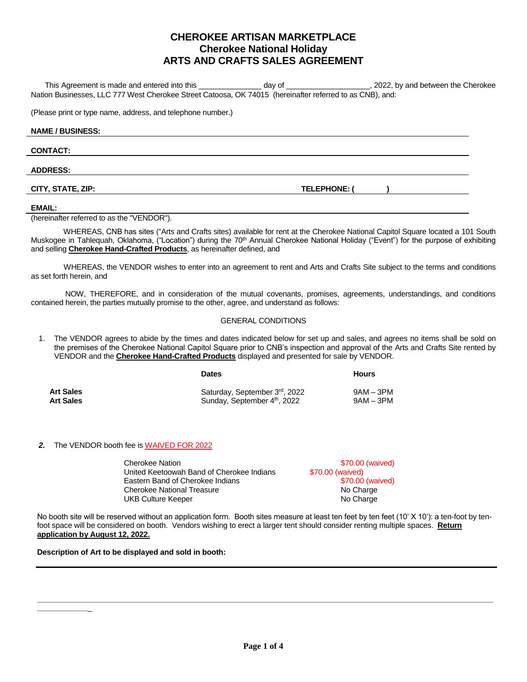# **CHEROKEE ARTISAN MARKETPLACE Cherokee National Holiday ARTS AND CRAFTS SALES AGREEMENT**

 This Agreement is made and entered into this \_\_\_\_\_\_\_\_\_\_\_\_\_\_\_ day of \_\_\_\_\_\_\_\_\_\_\_\_\_\_\_\_\_\_\_\_, 2022, by and between the Cherokee Nation Businesses, LLC 777 West Cherokee Street Catoosa, OK 74015 (hereinafter referred to as CNB), and:

(Please print or type name, address, and telephone number.)

#### **NAME / BUSINESS:**

#### **CONTACT:**

## **ADDRESS:**

**CITY, STATE, ZIP: TELEPHONE: ( )**

## **EMAIL:**

(hereinafter referred to as the "VENDOR").

 WHEREAS, CNB has sites ("Arts and Crafts sites) available for rent at the Cherokee National Capitol Square located a 101 South Muskogee in Tahlequah, Oklahoma, ("Location") during the 70<sup>th</sup> Annual Cherokee National Holiday ("Event") for the purpose of exhibiting and selling **Cherokee Hand-Crafted Products**, as hereinafter defined, and

 WHEREAS, the VENDOR wishes to enter into an agreement to rent and Arts and Crafts Site subject to the terms and conditions as set forth herein, and

 NOW, THEREFORE, and in consideration of the mutual covenants, promises, agreements, understandings, and conditions contained herein, the parties mutually promise to the other, agree, and understand as follows:

# GENERAL CONDITIONS

1. The VENDOR agrees to abide by the times and dates indicated below for set up and sales, and agrees no items shall be sold on the premises of the Cherokee National Capitol Square prior to CNB's inspection and approval of the Arts and Crafts Site rented by VENDOR and the **Cherokee Hand-Crafted Products** displayed and presented for sale by VENDOR.

|                  | <b>Dates</b>                  | <b>Hours</b> |  |
|------------------|-------------------------------|--------------|--|
| <b>Art Sales</b> | Saturday, September 3rd, 2022 | $9AM - 3PM$  |  |
| <b>Art Sales</b> | Sunday, September 4th, 2022   | $9AM - 3PM$  |  |

# *2.* The VENDOR booth fee is WAIVED FOR 2022

| <b>Cherokee Nation</b>                    | \$70.00 (waived) |
|-------------------------------------------|------------------|
| United Keetoowah Band of Cherokee Indians | \$70.00 (waived) |
| Eastern Band of Cherokee Indians          | \$70.00 (waived) |
| Cherokee National Treasure                | No Charge        |
| UKB Culture Keeper                        | No Charge        |

No booth site will be reserved without an application form. Booth sites measure at least ten feet by ten feet (10' X 10'): a ten-foot by tenfoot space will be considered on booth. Vendors wishing to erect a larger tent should consider renting multiple spaces. **Return application by August 12, 2022.**

# **Description of Art to be displayed and sold in booth:**

**\_\_\_\_\_\_\_\_\_\_\_\_**\_

**\_\_\_\_\_\_\_\_\_\_\_\_\_\_\_\_\_\_\_\_\_\_\_\_\_\_\_\_\_\_\_\_\_\_\_\_\_\_\_\_\_\_\_\_\_\_\_\_\_\_\_\_\_\_\_\_\_\_\_\_\_\_\_\_\_\_\_\_\_\_\_\_\_\_\_\_\_\_\_\_\_\_\_\_\_\_\_\_\_\_\_\_\_\_\_\_\_\_\_\_\_\_\_\_\_\_\_\_**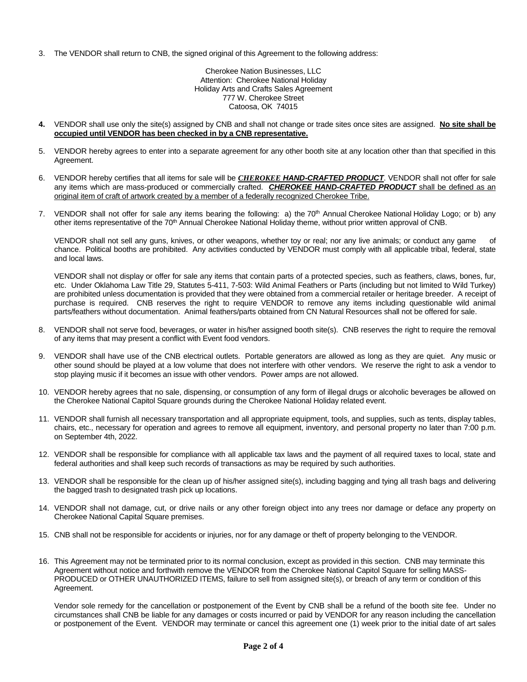3. The VENDOR shall return to CNB, the signed original of this Agreement to the following address:

Cherokee Nation Businesses, LLC Attention: Cherokee National Holiday Holiday Arts and Crafts Sales Agreement 777 W. Cherokee Street Catoosa, OK 74015

- **4.** VENDOR shall use only the site(s) assigned by CNB and shall not change or trade sites once sites are assigned. **No site shall be occupied until VENDOR has been checked in by a CNB representative.**
- 5. VENDOR hereby agrees to enter into a separate agreement for any other booth site at any location other than that specified in this Agreement.
- 6. VENDOR hereby certifies that all items for sale will be *CHEROKEE HAND-CRAFTED PRODUCT*. VENDOR shall not offer for sale any items which are mass-produced or commercially crafted. *CHEROKEE HAND-CRAFTED PRODUCT* shall be defined as an original item of craft of artwork created by a member of a federally recognized Cherokee Tribe.
- 7. VENDOR shall not offer for sale any items bearing the following: a) the 70<sup>th</sup> Annual Cherokee National Holiday Logo; or b) any other items representative of the 70<sup>th</sup> Annual Cherokee National Holiday theme, without prior written approval of CNB.

VENDOR shall not sell any guns, knives, or other weapons, whether toy or real; nor any live animals; or conduct any game of chance. Political booths are prohibited. Any activities conducted by VENDOR must comply with all applicable tribal, federal, state and local laws.

VENDOR shall not display or offer for sale any items that contain parts of a protected species, such as feathers, claws, bones, fur, etc. Under Oklahoma Law Title 29, Statutes 5-411, 7-503: Wild Animal Feathers or Parts (including but not limited to Wild Turkey) are prohibited unless documentation is provided that they were obtained from a commercial retailer or heritage breeder. A receipt of purchase is required. CNB reserves the right to require VENDOR to remove any items including questionable wild animal parts/feathers without documentation. Animal feathers/parts obtained from CN Natural Resources shall not be offered for sale.

- 8. VENDOR shall not serve food, beverages, or water in his/her assigned booth site(s). CNB reserves the right to require the removal of any items that may present a conflict with Event food vendors.
- 9. VENDOR shall have use of the CNB electrical outlets. Portable generators are allowed as long as they are quiet. Any music or other sound should be played at a low volume that does not interfere with other vendors. We reserve the right to ask a vendor to stop playing music if it becomes an issue with other vendors. Power amps are not allowed.
- 10. VENDOR hereby agrees that no sale, dispensing, or consumption of any form of illegal drugs or alcoholic beverages be allowed on the Cherokee National Capitol Square grounds during the Cherokee National Holiday related event.
- 11. VENDOR shall furnish all necessary transportation and all appropriate equipment, tools, and supplies, such as tents, display tables, chairs, etc., necessary for operation and agrees to remove all equipment, inventory, and personal property no later than 7:00 p.m. on September 4th, 2022.
- 12. VENDOR shall be responsible for compliance with all applicable tax laws and the payment of all required taxes to local, state and federal authorities and shall keep such records of transactions as may be required by such authorities.
- 13. VENDOR shall be responsible for the clean up of his/her assigned site(s), including bagging and tying all trash bags and delivering the bagged trash to designated trash pick up locations.
- 14. VENDOR shall not damage, cut, or drive nails or any other foreign object into any trees nor damage or deface any property on Cherokee National Capital Square premises.
- 15. CNB shall not be responsible for accidents or injuries, nor for any damage or theft of property belonging to the VENDOR.
- 16. This Agreement may not be terminated prior to its normal conclusion, except as provided in this section. CNB may terminate this Agreement without notice and forthwith remove the VENDOR from the Cherokee National Capitol Square for selling MASS-PRODUCED or OTHER UNAUTHORIZED ITEMS, failure to sell from assigned site(s), or breach of any term or condition of this Agreement.

Vendor sole remedy for the cancellation or postponement of the Event by CNB shall be a refund of the booth site fee. Under no circumstances shall CNB be liable for any damages or costs incurred or paid by VENDOR for any reason including the cancellation or postponement of the Event. VENDOR may terminate or cancel this agreement one (1) week prior to the initial date of art sales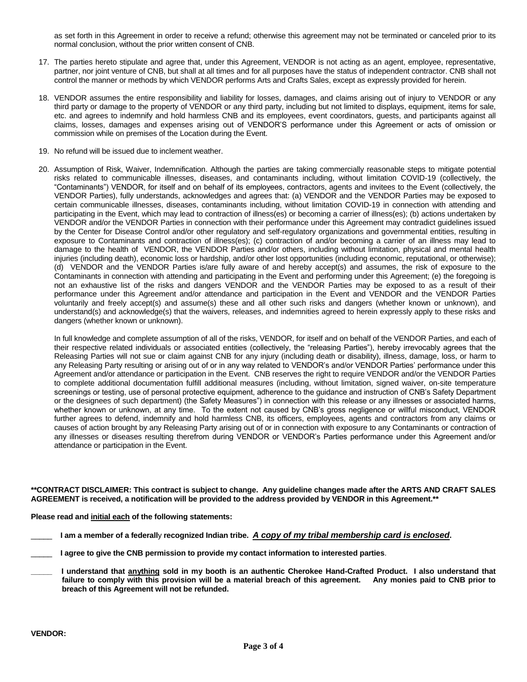as set forth in this Agreement in order to receive a refund; otherwise this agreement may not be terminated or canceled prior to its normal conclusion, without the prior written consent of CNB.

- 17. The parties hereto stipulate and agree that, under this Agreement, VENDOR is not acting as an agent, employee, representative, partner, nor joint venture of CNB, but shall at all times and for all purposes have the status of independent contractor. CNB shall not control the manner or methods by which VENDOR performs Arts and Crafts Sales, except as expressly provided for herein.
- 18. VENDOR assumes the entire responsibility and liability for losses, damages, and claims arising out of injury to VENDOR or any third party or damage to the property of VENDOR or any third party, including but not limited to displays, equipment, items for sale, etc. and agrees to indemnify and hold harmless CNB and its employees, event coordinators, guests, and participants against all claims, losses, damages and expenses arising out of VENDOR'S performance under this Agreement or acts of omission or commission while on premises of the Location during the Event.
- 19. No refund will be issued due to inclement weather.
- 20. Assumption of Risk, Waiver, Indemnification. Although the parties are taking commercially reasonable steps to mitigate potential risks related to communicable illnesses, diseases, and contaminants including, without limitation COVID-19 (collectively, the "Contaminants") VENDOR, for itself and on behalf of its employees, contractors, agents and invitees to the Event (collectively, the VENDOR Parties), fully understands, acknowledges and agrees that: (a) VENDOR and the VENDOR Parties may be exposed to certain communicable illnesses, diseases, contaminants including, without limitation COVID-19 in connection with attending and participating in the Event, which may lead to contraction of illness(es) or becoming a carrier of illness(es); (b) actions undertaken by VENDOR and/or the VENDOR Parties in connection with their performance under this Agreement may contradict guidelines issued by the Center for Disease Control and/or other regulatory and self-regulatory organizations and governmental entities, resulting in exposure to Contaminants and contraction of illness(es); (c) contraction of and/or becoming a carrier of an illness may lead to damage to the health of VENDOR, the VENDOR Parties and/or others, including without limitation, physical and mental health injuries (including death), economic loss or hardship, and/or other lost opportunities (including economic, reputational, or otherwise); (d) VENDOR and the VENDOR Parties is/are fully aware of and hereby accept(s) and assumes, the risk of exposure to the Contaminants in connection with attending and participating in the Event and performing under this Agreement; (e) the foregoing is not an exhaustive list of the risks and dangers VENDOR and the VENDOR Parties may be exposed to as a result of their performance under this Agreement and/or attendance and participation in the Event and VENDOR and the VENDOR Parties voluntarily and freely accept(s) and assume(s) these and all other such risks and dangers (whether known or unknown), and understand(s) and acknowledge(s) that the waivers, releases, and indemnities agreed to herein expressly apply to these risks and dangers (whether known or unknown).

In full knowledge and complete assumption of all of the risks, VENDOR, for itself and on behalf of the VENDOR Parties, and each of their respective related individuals or associated entities (collectively, the "releasing Parties"), hereby irrevocably agrees that the Releasing Parties will not sue or claim against CNB for any injury (including death or disability), illness, damage, loss, or harm to any Releasing Party resulting or arising out of or in any way related to VENDOR's and/or VENDOR Parties' performance under this Agreement and/or attendance or participation in the Event. CNB reserves the right to require VENDOR and/or the VENDOR Parties to complete additional documentation fulfill additional measures (including, without limitation, signed waiver, on-site temperature screenings or testing, use of personal protective equipment, adherence to the guidance and instruction of CNB's Safety Department or the designees of such department) (the Safety Measures") in connection with this release or any illnesses or associated harms, whether known or unknown, at any time. To the extent not caused by CNB's gross negligence or willful misconduct, VENDOR further agrees to defend, indemnify and hold harmless CNB, its officers, employees, agents and contractors from any claims or causes of action brought by any Releasing Party arising out of or in connection with exposure to any Contaminants or contraction of any illnesses or diseases resulting therefrom during VENDOR or VENDOR's Parties performance under this Agreement and/or attendance or participation in the Event.

**\*\*CONTRACT DISCLAIMER: This contract is subject to change. Any guideline changes made after the ARTS AND CRAFT SALES AGREEMENT is received, a notification will be provided to the address provided by VENDOR in this Agreement.\*\***

**Please read and initial each of the following statements:**

- \_\_\_\_\_ **I am a member of a federall**y **recognized Indian tribe.** *A copy of my tribal membership card is enclosed***.**
- \_\_\_\_\_ **I agree to give the CNB permission to provide my contact information to interested parties**.
- **\_\_\_\_\_ I understand that anything sold in my booth is an authentic Cherokee Hand-Crafted Product. I also understand that failure to comply with this provision will be a material breach of this agreement. Any monies paid to CNB prior to breach of this Agreement will not be refunded.**